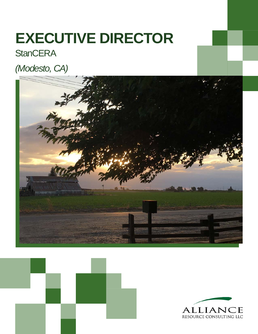# **EXECUTIVE DIRECTOR**

### **StanCERA**

## *(Modesto, CA)*





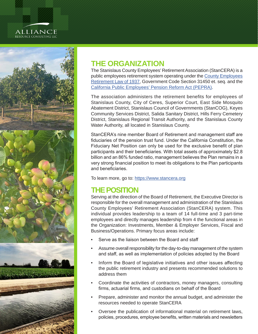# ALLIANCE<br>resource consulting llc



#### **THE ORGANIZATION**

The Stanislaus County Employees' Retirement Association (StanCERA) is a public employees retirement system operating under the County Employees [Retirement Law of 1937](https://www.stancera.org/wp-content/uploads/2020/02/2017-1937Act-Law-Book.pdf), Government Code Section 31450 et. seq. and the [California Public Employees' Pension Reform Act \(PEPRA\).](https://www.stancera.org/pepra-and-irs-decision-trees/)

The association administers the retirement benefits for employees of Stanislaus County, City of Ceres, Superior Court, East Side Mosquito Abatement District, Stanislaus Council of Governments (StanCOG), Keyes Community Services District, Salida Sanitary District, Hills Ferry Cemetery District, Stanislaus Regional Transit Authority, and the Stanislaus County Water Authority, all located in Stanislaus County.

StanCERA's nine member Board of Retirement and management staff are fiduciaries of the pension trust fund. Under the California Constitution, the Fiduciary Net Position can only be used for the exclusive benefit of plan participants and their beneficiaries. With total assets of approximately \$2.8 billion and an 86% funded ratio, management believes the Plan remains in a very strong financial position to meet its obligations to the Plan participants and beneficiaries.

To learn more, go to: <https://www.stancera.org>

### **THE POSITION**

Serving at the direction of the Board of Retirement, the Executive Director is responsible for the overall management and administration of the Stanislaus County Employees' Retirement Association (StanCERA) system. This individual provides leadership to a team of 14 full-time and 3 part-time employees and directly manages leadership from 4 the functional areas in the Organization: Investments, Member & Employer Services, Fiscal and Business/Operations. Primary focus areas include:

- Serve as the liaison between the Board and staff
- Assume overall responsibility for the day-to-day management of the system and staff, as well as implementation of policies adopted by the Board
- Inform the Board of legislative initiatives and other issues affecting the public retirement industry and presents recommended solutions to address them
- Coordinate the activities of contractors, money managers, consulting firms, actuarial firms, and custodians on behalf of the Board
- Prepare, administer and monitor the annual budget, and administer the resources needed to operate StanCERA
- Oversee the publication of informational material on retirement laws, policies, procedures, employee benefits, written materials and newsletters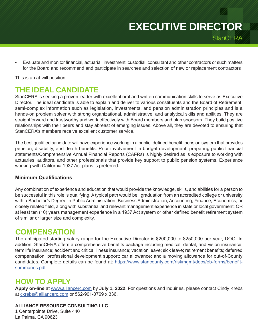# **EXECUTIVE DIRECTOR**

**StanCERA** 

• Evaluate and monitor financial, actuarial, investment, custodial, consultant and other contractors or such matters for the Board and recommend and participate in searches and selection of new or replacement contractors

This is an at-will position.

#### **THE IDEAL CANDIDATE**

StanCERA is seeking a proven leader with excellent oral and written communication skills to serve as Executive Director. The ideal candidate is able to explain and deliver to various constituents and the Board of Retirement, semi-complex information such as legislation, investments, and pension administration principles and is a hands-on problem solver with strong organizational, administrative, and analytical skills and abilities. They are straightforward and trustworthy and work effectively with Board members and plan sponsors. They build positive relationships with their peers and stay abreast of emerging issues. Above all, they are devoted to ensuring that StanCERA's members receive excellent customer service.

The best qualified candidate will have experience working in a public, defined benefit, pension system that provides pension, disability, and death benefits. Prior involvement in budget development, preparing public financial statements/Comprehensive Annual Financial Reports (CAFRs) is highly desired as is exposure to working with actuaries, auditors, and other professionals that provide key support to public pension systems. Experience working with California 1937 Act plans is preferred.

#### **Minimum Qualifications**

Any combination of experience and education that would provide the knowledge, skills, and abilities for a person to be successful in this role is qualifying. A typical path would be: graduation from an accredited college or university with a Bachelor's Degree in Public Administration, Business Administration, Accounting, Finance, Economics, or closely related field, along with substantial and relevant management experience in state or local government; OR at least ten (10) years management experience in a 1937 Act system or other defined benefit retirement system of similar or larger size and complexity.

#### **COMPENSATION**

The anticipated starting salary range for the Executive Director is \$200,000 to \$250,000 per year, DOQ. In addition, StanCERA offers a comprehensive benefits package including medical, dental, and vision insurance; term life insurance; accident and critical illness insurance; vacation leave; sick leave; retirement benefits; deferred compensation; professional development support; car allowance; and a moving allowance for out-of-County candidates. Complete details can be found at: [https://www.stancounty.com/riskmgmt/docs/eb-forms/benefit](https://www.stancounty.com/riskmgmt/docs/eb-forms/benefit-summaries.pdf)[summaries.pdf](https://www.stancounty.com/riskmgmt/docs/eb-forms/benefit-summaries.pdf)

#### **HOW TO APPLY**

**Apply on-line** at [www.alliancerc.com](http://www.alliancerc.com) by **July 1, 2022**. For questions and inquiries, please contact Cindy Krebs at [ckrebs@alliancerc.com](mailto:ckrebs@alliancerc.com) or 562-901-0769 x 336.

#### **ALLIANCE RESOURCE CONSULTING LLC**

1 Centerpointe Drive, Suite 440 La Palma, CA 90623